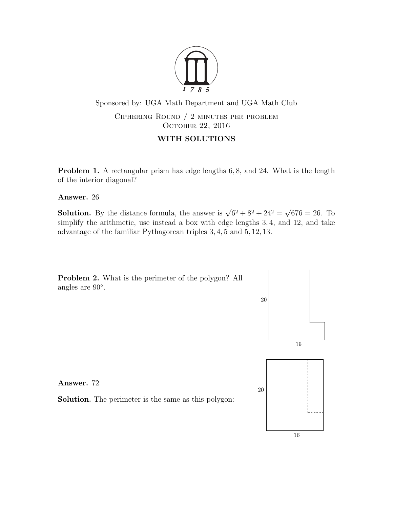

Sponsored by: UGA Math Department and UGA Math Club Ciphering Round / 2 minutes per problem OCTOBER 22, 2016

## WITH SOLUTIONS

**Problem 1.** A rectangular prism has edge lengths 6, 8, and 24. What is the length of the interior diagonal?

Answer. 26

**Solution.** By the distance formula, the answer is  $\sqrt{6^2 + 8^2 + 24^2}$ √  $676 = 26$ . To simplify the arithmetic, use instead a box with edge lengths 3, 4, and 12, and take advantage of the familiar Pythagorean triples 3, 4, 5 and 5, 12, 13.



Answer. 72

Solution. The perimeter is the same as this polygon:



20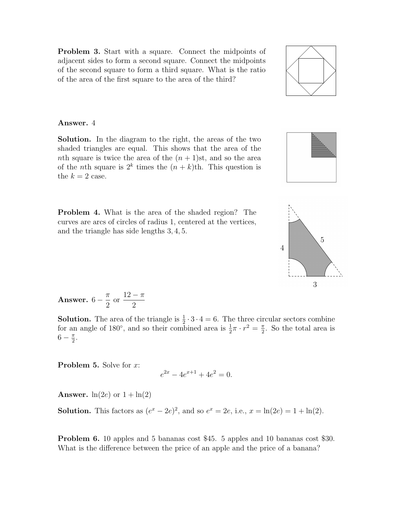Problem 3. Start with a square. Connect the midpoints of adjacent sides to form a second square. Connect the midpoints of the second square to form a third square. What is the ratio of the area of the first square to the area of the third?

## Answer. 4

Solution. In the diagram to the right, the areas of the two shaded triangles are equal. This shows that the area of the nth square is twice the area of the  $(n+1)$ st, and so the area of the *n*th square is  $2^k$  times the  $(n + k)$ th. This question is the  $k = 2$  case.

Problem 4. What is the area of the shaded region? The curves are arcs of circles of radius 1, centered at the vertices, and the triangle has side lengths 3, 4, 5.

**Answer.** 
$$
6 - \frac{\pi}{2}
$$
 or  $\frac{12 - \pi}{2}$ 

**Solution.** The area of the triangle is  $\frac{1}{2} \cdot 3 \cdot 4 = 6$ . The three circular sectors combine for an angle of 180<sup>°</sup>, and so their combined area is  $\frac{1}{2}\pi \cdot r^2 = \frac{\pi}{2}$  $\frac{\pi}{2}$ . So the total area is  $6-\frac{\pi}{2}$  $\frac{\pi}{2}$ .

**Problem 5.** Solve for  $x$ :

$$
e^{2x} - 4e^{x+1} + 4e^2 = 0.
$$

**Answer.**  $ln(2e)$  or  $1 + ln(2)$ 

**Solution.** This factors as  $(e^x - 2e)^2$ , and so  $e^x = 2e$ , i.e.,  $x = \ln(2e) = 1 + \ln(2)$ .

Problem 6. 10 apples and 5 bananas cost \$45. 5 apples and 10 bananas cost \$30. What is the difference between the price of an apple and the price of a banana?





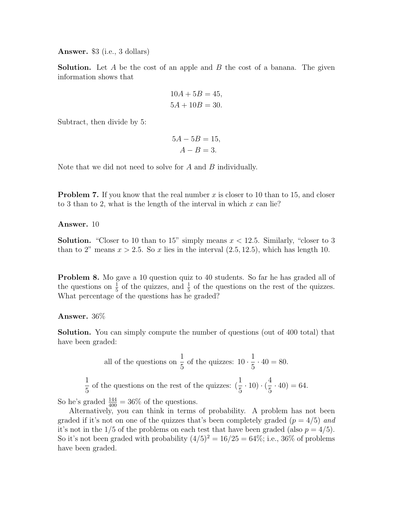Answer. \$3 (i.e., 3 dollars)

**Solution.** Let A be the cost of an apple and B the cost of a banana. The given information shows that

$$
10A + 5B = 45,
$$
  

$$
5A + 10B = 30.
$$

Subtract, then divide by 5:

$$
5A - 5B = 15,
$$
  

$$
A - B = 3.
$$

Note that we did not need to solve for A and B individually.

**Problem 7.** If you know that the real number x is closer to 10 than to 15, and closer to 3 than to 2, what is the length of the interval in which  $x$  can lie?

Answer. 10

**Solution.** "Closer to 10 than to 15" simply means  $x < 12.5$ . Similarly, "closer to 3 than to 2" means  $x > 2.5$ . So x lies in the interval  $(2.5, 12.5)$ , which has length 10.

**Problem 8.** Mo gave a 10 question quiz to 40 students. So far he has graded all of the questions on  $\frac{1}{5}$  of the quizzes, and  $\frac{1}{5}$  of the questions on the rest of the quizzes. What percentage of the questions has he graded?

Answer. 36%

Solution. You can simply compute the number of questions (out of 400 total) that have been graded:

all of the questions on 
$$
\frac{1}{5}
$$
 of the quizzes:  $10 \cdot \frac{1}{5} \cdot 40 = 80$ .  
 $\frac{1}{5}$  of the questions on the rest of the quizzes:  $(\frac{1}{5} \cdot 10) \cdot (\frac{4}{5} \cdot 40) = 64$ .

So he's graded  $\frac{144}{400} = 36\%$  of the questions.

Alternatively, you can think in terms of probability. A problem has not been graded if it's not on one of the quizzes that's been completely graded  $(p = 4/5)$  and it's not in the  $1/5$  of the problems on each test that have been graded (also  $p = 4/5$ ). So it's not been graded with probability  $(4/5)^2 = 16/25 = 64\%$ ; i.e., 36\% of problems have been graded.